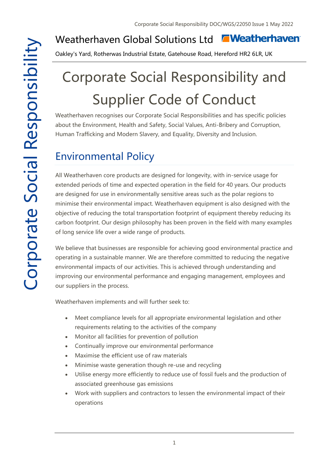#### **T**Weatherhaven Weatherhaven Global Solutions Ltd

Oakley's Yard, Rotherwas Industrial Estate, Gatehouse Road, Hereford HR2 6LR, UK

# Corporate Social Responsibility and Supplier Code of Conduct

Weatherhaven recognises our Corporate Social Responsibilities and has specific policies about the Environment, Health and Safety, Social Values, Anti-Bribery and Corruption, Human Trafficking and Modern Slavery, and Equality, Diversity and Inclusion.

# Environmental Policy

All Weatherhaven core products are designed for longevity, with in-service usage for extended periods of time and expected operation in the field for 40 years. Our products are designed for use in environmentally sensitive areas such as the polar regions to minimise their environmental impact. Weatherhaven equipment is also designed with the objective of reducing the total transportation footprint of equipment thereby reducing its carbon footprint. Our design philosophy has been proven in the field with many examples of long service life over a wide range of products.

We believe that businesses are responsible for achieving good environmental practice and operating in a sustainable manner. We are therefore committed to reducing the negative environmental impacts of our activities. This is achieved through understanding and improving our environmental performance and engaging management, employees and our suppliers in the process.

Weatherhaven implements and will further seek to:

- Meet compliance levels for all appropriate environmental legislation and other requirements relating to the activities of the company
- Monitor all facilities for prevention of pollution
- Continually improve our environmental performance
- Maximise the efficient use of raw materials
- Minimise waste generation though re-use and recycling
- Utilise energy more efficiently to reduce use of fossil fuels and the production of associated greenhouse gas emissions
- Work with suppliers and contractors to lessen the environmental impact of their operations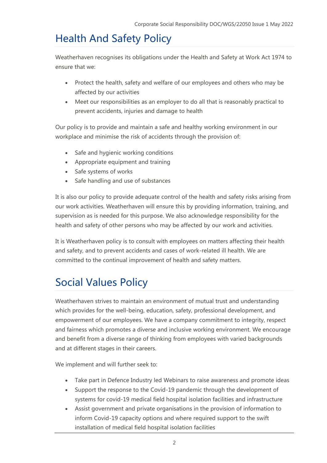### Health And Safety Policy

Weatherhaven recognises its obligations under the Health and Safety at Work Act 1974 to ensure that we:

- Protect the health, safety and welfare of our employees and others who may be affected by our activities
- Meet our responsibilities as an employer to do all that is reasonably practical to prevent accidents, injuries and damage to health

Our policy is to provide and maintain a safe and healthy working environment in our workplace and minimise the risk of accidents through the provision of:

- Safe and hygienic working conditions
- Appropriate equipment and training
- Safe systems of works
- Safe handling and use of substances

It is also our policy to provide adequate control of the health and safety risks arising from our work activities. Weatherhaven will ensure this by providing information, training, and supervision as is needed for this purpose. We also acknowledge responsibility for the health and safety of other persons who may be affected by our work and activities.

It is Weatherhaven policy is to consult with employees on matters affecting their health and safety, and to prevent accidents and cases of work-related ill health. We are committed to the continual improvement of health and safety matters.

# Social Values Policy

Weatherhaven strives to maintain an environment of mutual trust and understanding which provides for the well-being, education, safety, professional development, and empowerment of our employees. We have a company commitment to integrity, respect and fairness which promotes a diverse and inclusive working environment. We encourage and benefit from a diverse range of thinking from employees with varied backgrounds and at different stages in their careers.

We implement and will further seek to:

- Take part in Defence Industry led Webinars to raise awareness and promote ideas
- Support the response to the Covid-19 pandemic through the development of systems for covid-19 medical field hospital isolation facilities and infrastructure
- Assist government and private organisations in the provision of information to inform Covid-19 capacity options and where required support to the swift installation of medical field hospital isolation facilities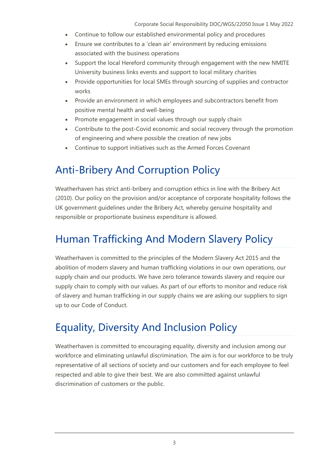- Continue to follow our established environmental policy and procedures
- Ensure we contributes to a 'clean air' environment by reducing emissions associated with the business operations
- Support the local Hereford community through engagement with the new NMITE University business links events and support to local military charities
- Provide opportunities for local SMEs through sourcing of supplies and contractor works
- Provide an environment in which employees and subcontractors benefit from positive mental health and well-being
- Promote engagement in social values through our supply chain
- Contribute to the post-Covid economic and social recovery through the promotion of engineering and where possible the creation of new jobs
- Continue to support initiatives such as the Armed Forces Covenant

#### Anti-Bribery And Corruption Policy

Weatherhaven has strict anti-bribery and corruption ethics in line with the Bribery Act (2010). Our policy on the provision and/or acceptance of corporate hospitality follows the UK government guidelines under the Bribery Act, whereby genuine hospitality and responsible or proportionate business expenditure is allowed.

#### Human Trafficking And Modern Slavery Policy

Weatherhaven is committed to the principles of the Modern Slavery Act 2015 and the abolition of modern slavery and human trafficking violations in our own operations, our supply chain and our products. We have zero tolerance towards slavery and require our supply chain to comply with our values. As part of our efforts to monitor and reduce risk of slavery and human trafficking in our supply chains we are asking our suppliers to sign up to our Code of Conduct.

#### Equality, Diversity And Inclusion Policy

Weatherhaven is committed to encouraging equality, diversity and inclusion among our workforce and eliminating unlawful discrimination. The aim is for our workforce to be truly representative of all sections of society and our customers and for each employee to feel respected and able to give their best. We are also committed against unlawful discrimination of customers or the public.